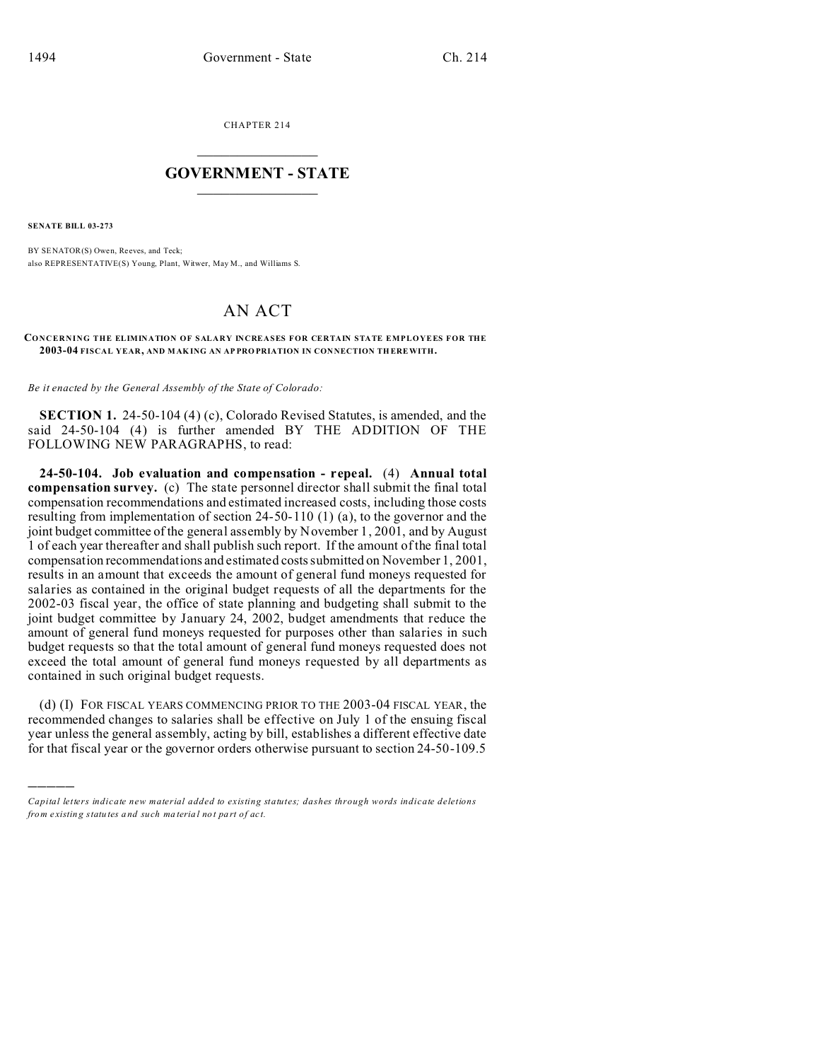CHAPTER 214  $\overline{\phantom{a}}$  , where  $\overline{\phantom{a}}$ 

## **GOVERNMENT - STATE**  $\_$   $\_$

**SENATE BILL 03-273**

)))))

BY SENATOR(S) Owen, Reeves, and Teck; also REPRESENTATIVE(S) Young, Plant, Witwer, May M., and Williams S.

## AN ACT

## **CONCERNING THE ELIMINATION OF SALARY INCREASES FOR CERTAIN STATE EMPLOYEES FOR THE 2003-04 FISCAL YEAR, AND MAK ING AN AP PRO PRIATION IN CON NECTION TH EREWITH.**

*Be it enacted by the General Assembly of the State of Colorado:*

**SECTION 1.** 24-50-104 (4) (c), Colorado Revised Statutes, is amended, and the said 24-50-104 (4) is further amended BY THE ADDITION OF THE FOLLOWING NEW PARAGRAPHS, to read:

**24-50-104. Job evaluation and compensation - repeal.** (4) **Annual total compensation survey.** (c) The state personnel director shall submit the final total compensation recommendations and estimated increased costs, including those costs resulting from implementation of section 24-50-110 (1) (a), to the governor and the joint budget committee of the general assembly by November 1, 2001, and by August 1 of each year thereafter and shall publish such report. If the amount of the final total compensation recommendations and estimated costs submitted on November 1, 2001, results in an amount that exceeds the amount of general fund moneys requested for salaries as contained in the original budget requests of all the departments for the 2002-03 fiscal year, the office of state planning and budgeting shall submit to the joint budget committee by January 24, 2002, budget amendments that reduce the amount of general fund moneys requested for purposes other than salaries in such budget requests so that the total amount of general fund moneys requested does not exceed the total amount of general fund moneys requested by all departments as contained in such original budget requests.

(d) (I) FOR FISCAL YEARS COMMENCING PRIOR TO THE 2003-04 FISCAL YEAR, the recommended changes to salaries shall be effective on July 1 of the ensuing fiscal year unless the general assembly, acting by bill, establishes a different effective date for that fiscal year or the governor orders otherwise pursuant to section 24-50-109.5

*Capital letters indicate new material added to existing statutes; dashes through words indicate deletions from e xistin g statu tes a nd such ma teria l no t pa rt of ac t.*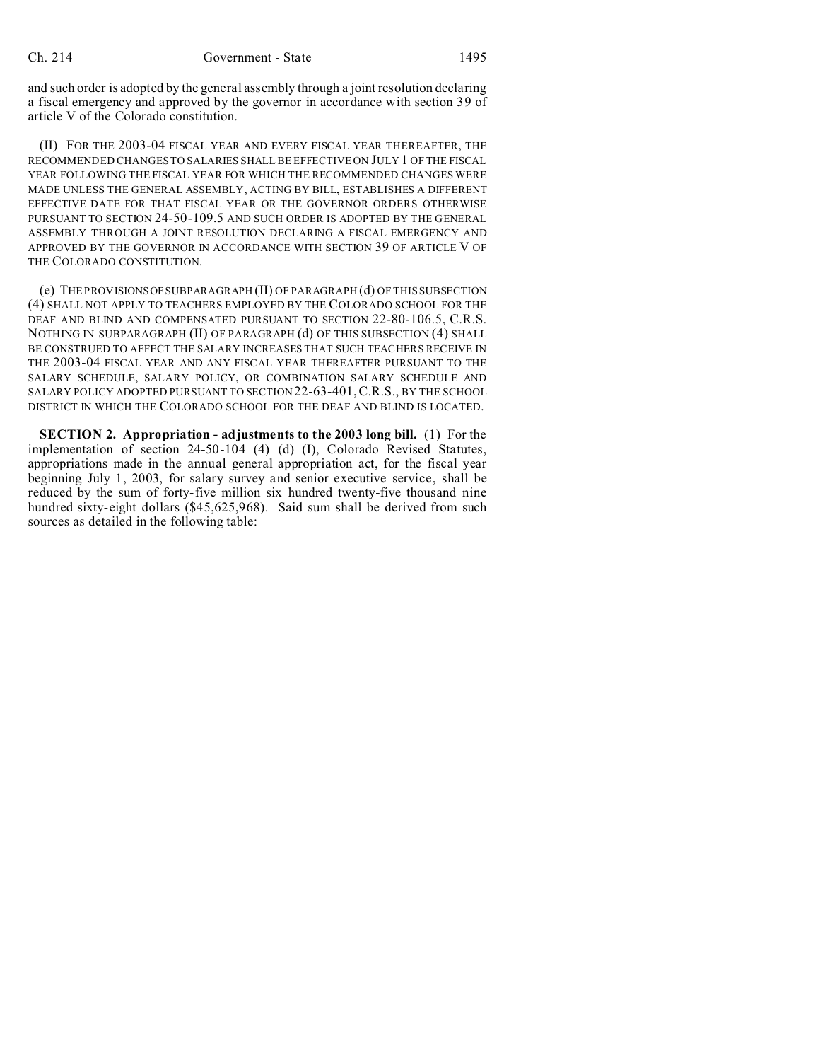and such order is adopted by the general assembly through a joint resolution declaring a fiscal emergency and approved by the governor in accordance with section 39 of article V of the Colorado constitution.

(II) FOR THE 2003-04 FISCAL YEAR AND EVERY FISCAL YEAR THEREAFTER, THE RECOMMENDED CHANGES TO SALARIES SHALL BE EFFECTIVE ON JULY 1 OF THE FISCAL YEAR FOLLOWING THE FISCAL YEAR FOR WHICH THE RECOMMENDED CHANGES WERE MADE UNLESS THE GENERAL ASSEMBLY, ACTING BY BILL, ESTABLISHES A DIFFERENT EFFECTIVE DATE FOR THAT FISCAL YEAR OR THE GOVERNOR ORDERS OTHERWISE PURSUANT TO SECTION 24-50-109.5 AND SUCH ORDER IS ADOPTED BY THE GENERAL ASSEMBLY THROUGH A JOINT RESOLUTION DECLARING A FISCAL EMERGENCY AND APPROVED BY THE GOVERNOR IN ACCORDANCE WITH SECTION 39 OF ARTICLE V OF THE COLORADO CONSTITUTION.

(e) THE PROVISIONSOF SUBPARAGRAPH (II) OF PARAGRAPH (d) OF THIS SUBSECTION (4) SHALL NOT APPLY TO TEACHERS EMPLOYED BY THE COLORADO SCHOOL FOR THE DEAF AND BLIND AND COMPENSATED PURSUANT TO SECTION 22-80-106.5, C.R.S. NOTHING IN SUBPARAGRAPH (II) OF PARAGRAPH (d) OF THIS SUBSECTION (4) SHALL BE CONSTRUED TO AFFECT THE SALARY INCREASES THAT SUCH TEACHERS RECEIVE IN THE 2003-04 FISCAL YEAR AND ANY FISCAL YEAR THEREAFTER PURSUANT TO THE SALARY SCHEDULE, SALARY POLICY, OR COMBINATION SALARY SCHEDULE AND SALARY POLICY ADOPTED PURSUANT TO SECTION 22-63-401,C.R.S., BY THE SCHOOL DISTRICT IN WHICH THE COLORADO SCHOOL FOR THE DEAF AND BLIND IS LOCATED.

**SECTION 2. Appropriation - adjustments to the 2003 long bill.** (1) For the implementation of section 24-50-104 (4) (d) (I), Colorado Revised Statutes, appropriations made in the annual general appropriation act, for the fiscal year beginning July 1, 2003, for salary survey and senior executive service, shall be reduced by the sum of forty-five million six hundred twenty-five thousand nine hundred sixty-eight dollars (\$45,625,968). Said sum shall be derived from such sources as detailed in the following table: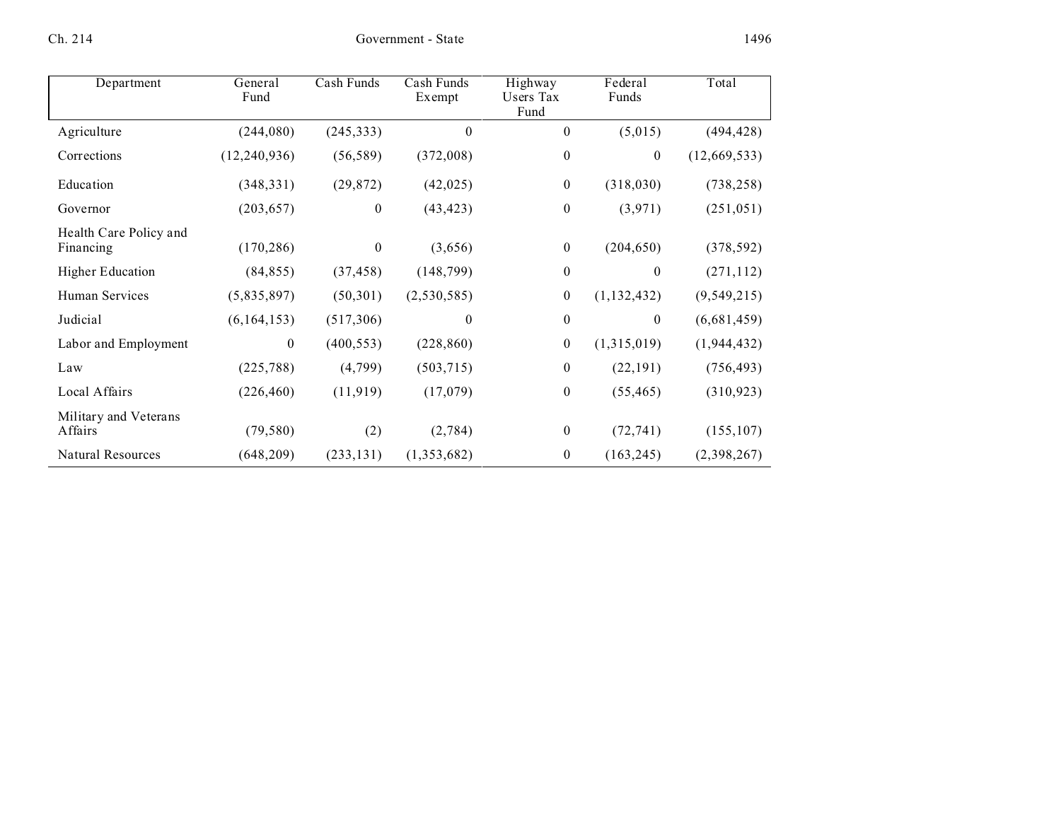| Department                          | General<br>Fund  | Cash Funds       | Cash Funds<br>Exempt | Highway<br>Users Tax<br>Fund | Federal<br>Funds | Total         |
|-------------------------------------|------------------|------------------|----------------------|------------------------------|------------------|---------------|
| Agriculture                         | (244,080)        | (245, 333)       | $\theta$             | $\mathbf{0}$                 | (5,015)          | (494, 428)    |
| Corrections                         | (12, 240, 936)   | (56, 589)        | (372,008)            | $\boldsymbol{0}$             | $\boldsymbol{0}$ | (12,669,533)  |
| Education                           | (348, 331)       | (29, 872)        | (42, 025)            | $\boldsymbol{0}$             | (318,030)        | (738, 258)    |
| Governor                            | (203, 657)       | $\boldsymbol{0}$ | (43, 423)            | $\boldsymbol{0}$             | (3,971)          | (251, 051)    |
| Health Care Policy and<br>Financing | (170, 286)       | $\boldsymbol{0}$ | (3,656)              | $\boldsymbol{0}$             | (204, 650)       | (378, 592)    |
| <b>Higher Education</b>             | (84, 855)        | (37, 458)        | (148, 799)           | $\boldsymbol{0}$             | $\mathbf{0}$     | (271, 112)    |
| Human Services                      | (5,835,897)      | (50, 301)        | (2,530,585)          | $\boldsymbol{0}$             | (1, 132, 432)    | (9, 549, 215) |
| Judicial                            | (6,164,153)      | (517,306)        | $\theta$             | $\boldsymbol{0}$             | $\theta$         | (6,681,459)   |
| Labor and Employment                | $\boldsymbol{0}$ | (400, 553)       | (228, 860)           | $\boldsymbol{0}$             | (1,315,019)      | (1, 944, 432) |
| Law                                 | (225, 788)       | (4,799)          | (503, 715)           | $\boldsymbol{0}$             | (22, 191)        | (756, 493)    |
| Local Affairs                       | (226, 460)       | (11, 919)        | (17,079)             | $\boldsymbol{0}$             | (55, 465)        | (310, 923)    |
| Military and Veterans<br>Affairs    | (79, 580)        | (2)              | (2,784)              | $\boldsymbol{0}$             | (72, 741)        | (155, 107)    |
| <b>Natural Resources</b>            | (648,209)        | (233, 131)       | (1,353,682)          | $\boldsymbol{0}$             | (163, 245)       | (2,398,267)   |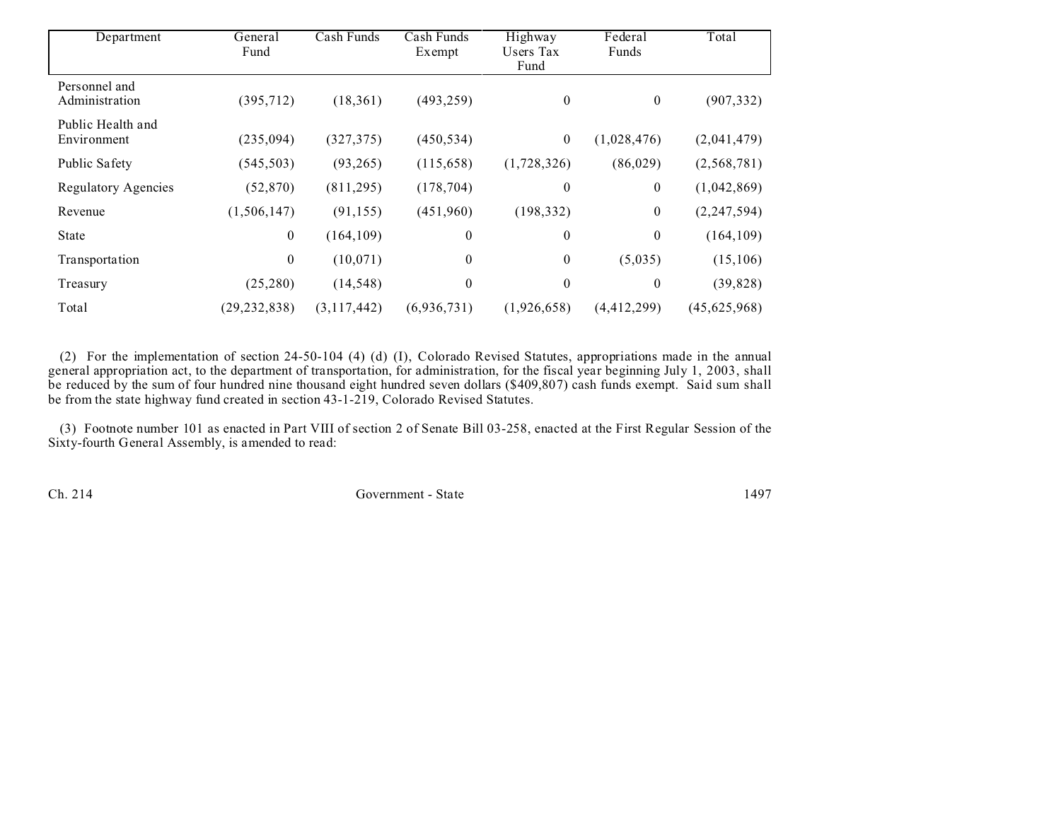| Department                       | General<br>Fund  | Cash Funds  | Cash Funds<br>Exempt | Highway<br>Users Tax<br>Fund | Federal<br>Funds | Total         |
|----------------------------------|------------------|-------------|----------------------|------------------------------|------------------|---------------|
| Personnel and<br>Administration  | (395, 712)       | (18,361)    | (493, 259)           | 0                            | $\boldsymbol{0}$ | (907, 332)    |
| Public Health and<br>Environment | (235, 094)       | (327, 375)  | (450, 534)           | $\boldsymbol{0}$             | (1,028,476)      | (2,041,479)   |
| Public Safety                    | (545, 503)       | (93, 265)   | (115, 658)           | (1,728,326)                  | (86, 029)        | (2,568,781)   |
| <b>Regulatory Agencies</b>       | (52, 870)        | (811,295)   | (178, 704)           | 0                            | $\boldsymbol{0}$ | (1,042,869)   |
| Revenue                          | (1,506,147)      | (91, 155)   | (451,960)            | (198, 332)                   | $\boldsymbol{0}$ | (2, 247, 594) |
| <b>State</b>                     | $\boldsymbol{0}$ | (164, 109)  | $\theta$             | $\boldsymbol{0}$             | $\boldsymbol{0}$ | (164, 109)    |
| Transportation                   | $\boldsymbol{0}$ | (10,071)    | $\boldsymbol{0}$     | $\boldsymbol{0}$             | (5,035)          | (15, 106)     |
| Treasury                         | (25, 280)        | (14, 548)   | $\mathbf{0}$         | $\boldsymbol{0}$             | $\boldsymbol{0}$ | (39, 828)     |
| Total                            | (29, 232, 838)   | (3,117,442) | (6,936,731)          | (1,926,658)                  | (4,412,299)      | (45,625,968)  |

(2) For the implementation of section 24-50-104 (4) (d) (I), Colorado Revised Statutes, appropriations made in the annual general appropriation act, to the department of transportation, for administration, for the fiscal year beginning July 1, 2003, shall be reduced by the sum of four hundred nine thousand eight hundred seven dollars (\$409,807) cash funds exempt. Said sum shall be from the state highway fund created in section 43-1-219, Colorado Revised Statutes.

(3) Footnote number 101 as enacted in Part VIII of section 2 of Senate Bill 03-258, enacted at the First Regular Session of the Sixty-fourth General Assembly, is amended to read:

Ch. 214 Government - State 1497